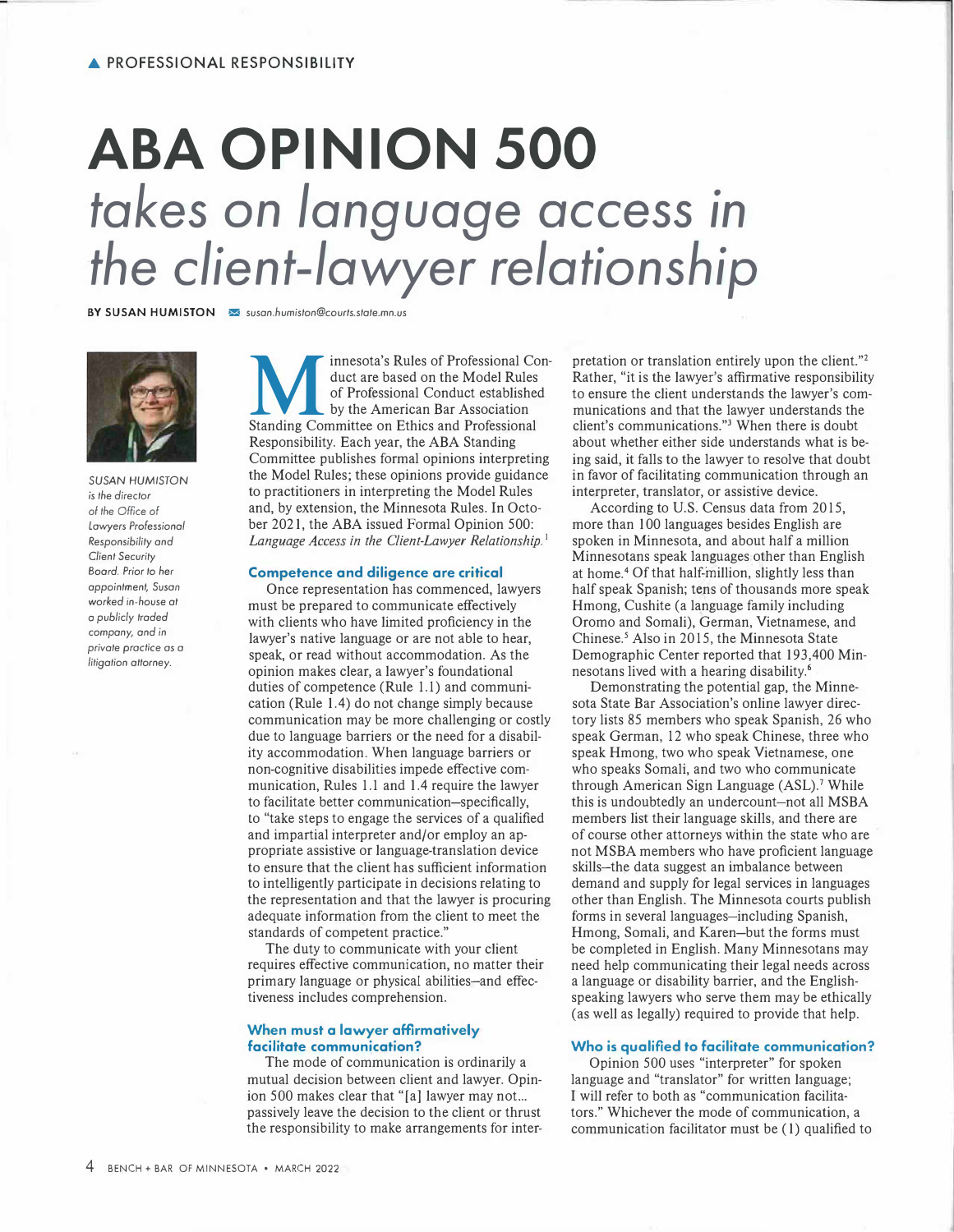# **ABA OPINION 500**  *takes* **on** *language* **access** *in the client-lawyer relationship*

**BY SUSAN HUMISTON**  $\blacktriangleright$  susan.humiston@courls.state.mn.us



*SUSAN HUMISTON*  is *the director*  of *the* Office of lawyers *Professional Responsibility and Client Security Board. Prior to her appointment,* Susan *worked in-house at*  a *publicly traded company, and* in *private* practice as a *litigation attorney.* 

M innesota's Rules of Professional Conduct are based on the Model Rules of Professional Conduct established by the American Bar Association Standing Committee on Ethics and Professional duct are based on the Model Rules of Professional Conduct established by the American Bar Association Responsibility. Each year, the ABA Standing Committee publishes formal opinions interpreting the Model Rules; these opinions provide guidance to practitioners in interpreting the Model Rules and, by extension, the Minnesota Rules. In October 2021, the ABA issued Formal Opinion 500: *Language Access in the Client-Lawyer Relationship.* <sup>1</sup>

### **Competence and diligence are critical**

Once representation has commenced, lawyers must be prepared to communicate effectively with clients who have limited proficiency in the lawyer's native language or are not able to hear, speak, or read without accommodation. As the opinion makes clear, a lawyer's foundational duties of competence (Rule 1.1) and communication (Rule 1.4) do not change simply because communication may be more challenging or costly due to language barriers or the need for a disability accommodation. When language barriers or non-cognitive disabilities impede effective communication, Rules 1.1 and 1 .4 require the lawyer to facilitate better communication-specifically, to "take steps to engage the services of a qualified and impartial interpreter and/or employ an appropriate assistive or language-translation device to ensure that the client has sufficient information to intelligently participate in decisions relating to the representation and that the lawyer is procuring adequate information from the client to meet the standards of competent practice."

The duty to communicate with your client requires effective communication, no matter their primary language or physical abilities-and effectiveness includes comprehension.

## **When must a lawyer affirmatively facilitate communication?**

The mode of communication is ordinarily a mutual decision between client and lawyer. Opinion 500 makes clear that "[a] lawyer may not... passively leave the decision to the client or thrust the responsibility to make arrangements for interpretation or translation entirely upon the client."<sup>2</sup> Rather, "it is the lawyer's affirmative responsibility to ensure the client understands the lawyer's communications and that the lawyer understands the client's communications."3 When there is doubt about whether either side understands what is being said, it falls to the lawyer to resolve that doubt in favor of facilitating communication through an interpreter, translator, or assistive device.

According to U.S. Census data from 2015, more than 100 languages besides English are spoken in Minnesota, and about half a million Minnesotans speak languages other than English at home.<sup>4</sup> Of that half-million, slightly less than half speak Spanish; tens of thousands more speak Hmong, Cushite (a language family including Oromo and Somali), German, Vietnamese, and Chinese.<sup>5</sup> Also in 2015, the Minnesota State Demographic Center reported that 193,400 Minnesotans lived with a hearing disability.<sup>6</sup>

Demonstrating the potential gap, the Minnesota State Bar Association's online lawyer directory lists 85 members who speak Spanish, 26 who speak German, 12 who speak Chinese, three who speak Hmong, two who speak Vietnamese, one who speaks Somali, and two who communicate through American Sign Language (ASL).<sup>7</sup> While this is undoubtedly an undercount-not all MSBA members list their language skills, and there are of course other attorneys within the state who are not MSBA members who have proficient language skills-the data suggest an imbalance between demand and supply for legal services in languages other than English. The Minnesota courts publish forms in several languages-including Spanish, Hmong, Somali, and Karen-but the forms must be completed in English. Many Minnesotans may need help communicating their legal needs across a language or disability barrier, and the Englishspeaking lawyers who serve them may be ethically (as well as legally) required to provide that help.

#### **Who is qualified to facilitate communication?**

Opinion 500 uses "interpreter" for spoken language and "translator" for written language; I will refer to both as "communication facilitators." Whichever the mode of communication, a communication facilitator must be ( 1) qualified to